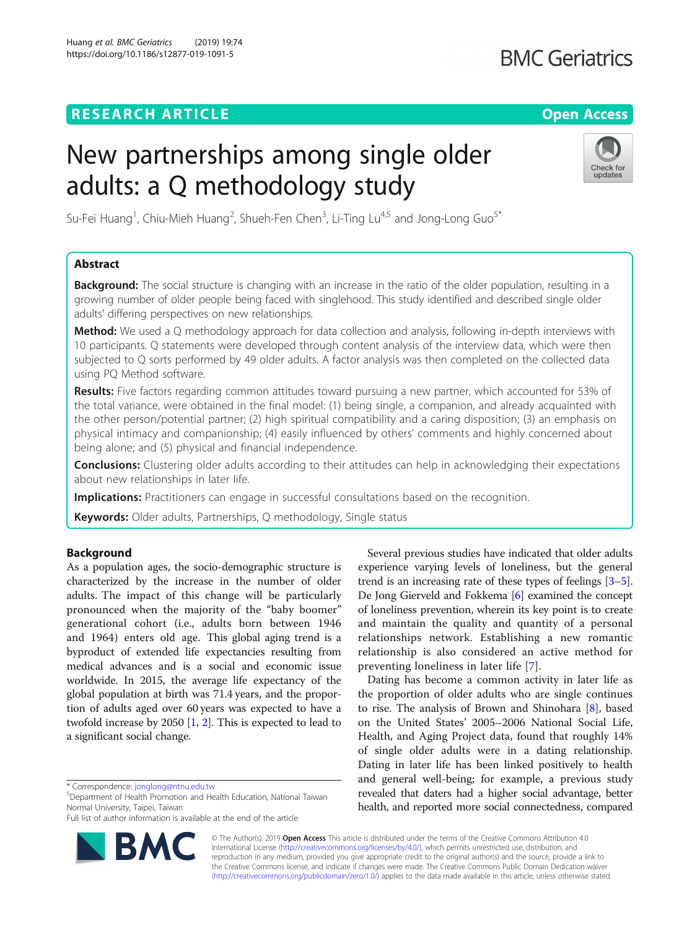# **RESEARCH ARTICLE Example 2014 12:30 The Open Access**

# **BMC Geriatrics**

# New partnerships among single older adults: a Q methodology study



Su-Fei Huang<sup>1</sup>, Chiu-Mieh Huang<sup>2</sup>, Shueh-Fen Chen<sup>3</sup>, Li-Ting Lu<sup>4,5</sup> and Jong-Long Guo<sup>5\*</sup>

# Abstract

**Background:** The social structure is changing with an increase in the ratio of the older population, resulting in a growing number of older people being faced with singlehood. This study identified and described single older adults' differing perspectives on new relationships.

**Method:** We used a Q methodology approach for data collection and analysis, following in-depth interviews with 10 participants. Q statements were developed through content analysis of the interview data, which were then subjected to Q sorts performed by 49 older adults. A factor analysis was then completed on the collected data using PQ Method software.

Results: Five factors regarding common attitudes toward pursuing a new partner, which accounted for 53% of the total variance, were obtained in the final model: (1) being single, a companion, and already acquainted with the other person/potential partner; (2) high spiritual compatibility and a caring disposition; (3) an emphasis on physical intimacy and companionship; (4) easily influenced by others' comments and highly concerned about being alone; and (5) physical and financial independence.

**Conclusions:** Clustering older adults according to their attitudes can help in acknowledging their expectations about new relationships in later life.

Implications: Practitioners can engage in successful consultations based on the recognition.

**Keywords:** Older adults, Partnerships, Q methodology, Single status

# Background

As a population ages, the socio-demographic structure is characterized by the increase in the number of older adults. The impact of this change will be particularly pronounced when the majority of the "baby boomer" generational cohort (i.e., adults born between 1946 and 1964) enters old age. This global aging trend is a byproduct of extended life expectancies resulting from medical advances and is a social and economic issue worldwide. In 2015, the average life expectancy of the global population at birth was 71.4 years, and the proportion of adults aged over 60 years was expected to have a twofold increase by 2050 [\[1](#page-9-0), [2\]](#page-9-0). This is expected to lead to a significant social change.

Department of Health Promotion and Health Education, National Taiwan Normal University, Taipei, Taiwan

Full list of author information is available at the end of the article



Several previous studies have indicated that older adults experience varying levels of loneliness, but the general trend is an increasing rate of these types of feelings [[3](#page-9-0)–[5](#page-9-0)]. De Jong Gierveld and Fokkema [\[6](#page-9-0)] examined the concept of loneliness prevention, wherein its key point is to create and maintain the quality and quantity of a personal relationships network. Establishing a new romantic relationship is also considered an active method for preventing loneliness in later life [[7](#page-10-0)].

Dating has become a common activity in later life as the proportion of older adults who are single continues to rise. The analysis of Brown and Shinohara [[8](#page-10-0)], based on the United States' 2005–2006 National Social Life, Health, and Aging Project data, found that roughly 14% of single older adults were in a dating relationship. Dating in later life has been linked positively to health and general well-being; for example, a previous study revealed that daters had a higher social advantage, better health, and reported more social connectedness, compared

© The Author(s). 2019 **Open Access** This article is distributed under the terms of the Creative Commons Attribution 4.0 International License [\(http://creativecommons.org/licenses/by/4.0/](http://creativecommons.org/licenses/by/4.0/)), which permits unrestricted use, distribution, and reproduction in any medium, provided you give appropriate credit to the original author(s) and the source, provide a link to the Creative Commons license, and indicate if changes were made. The Creative Commons Public Domain Dedication waiver [\(http://creativecommons.org/publicdomain/zero/1.0/](http://creativecommons.org/publicdomain/zero/1.0/)) applies to the data made available in this article, unless otherwise stated.

<sup>\*</sup> Correspondence: [jonglong@ntnu.edu.tw](mailto:jonglong@ntnu.edu.tw) <sup>5</sup>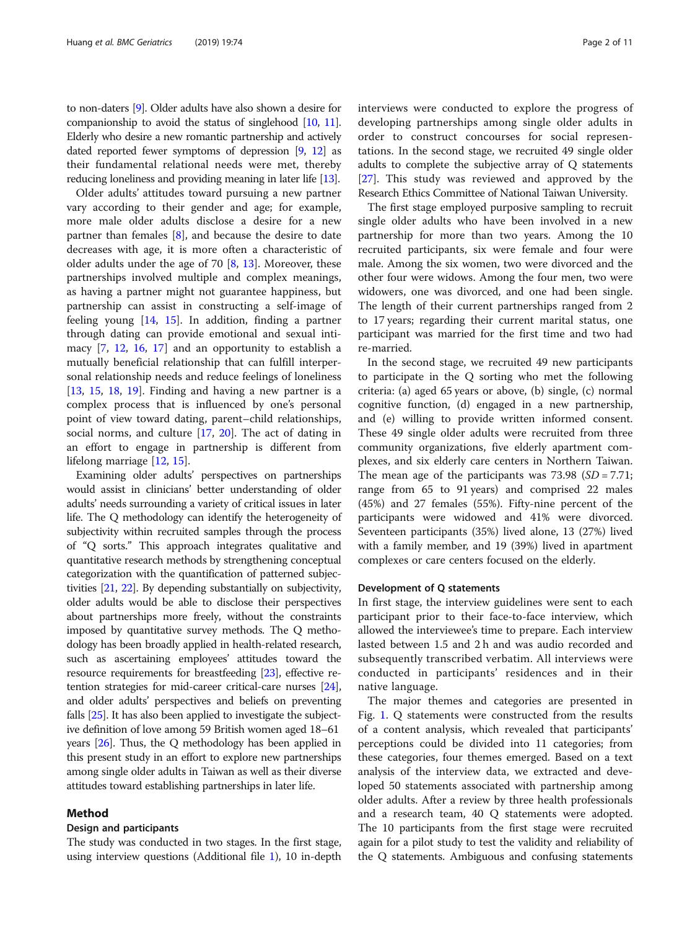to non-daters [[9](#page-10-0)]. Older adults have also shown a desire for companionship to avoid the status of singlehood [[10](#page-10-0), [11](#page-10-0)]. Elderly who desire a new romantic partnership and actively dated reported fewer symptoms of depression [\[9,](#page-10-0) [12\]](#page-10-0) as their fundamental relational needs were met, thereby reducing loneliness and providing meaning in later life [\[13](#page-10-0)].

Older adults' attitudes toward pursuing a new partner vary according to their gender and age; for example, more male older adults disclose a desire for a new partner than females [\[8](#page-10-0)], and because the desire to date decreases with age, it is more often a characteristic of older adults under the age of 70  $[8, 13]$  $[8, 13]$  $[8, 13]$  $[8, 13]$ . Moreover, these partnerships involved multiple and complex meanings, as having a partner might not guarantee happiness, but partnership can assist in constructing a self-image of feeling young [[14,](#page-10-0) [15](#page-10-0)]. In addition, finding a partner through dating can provide emotional and sexual intimacy [[7,](#page-10-0) [12,](#page-10-0) [16](#page-10-0), [17\]](#page-10-0) and an opportunity to establish a mutually beneficial relationship that can fulfill interpersonal relationship needs and reduce feelings of loneliness [[13,](#page-10-0) [15,](#page-10-0) [18,](#page-10-0) [19\]](#page-10-0). Finding and having a new partner is a complex process that is influenced by one's personal point of view toward dating, parent–child relationships, social norms, and culture [[17](#page-10-0), [20](#page-10-0)]. The act of dating in an effort to engage in partnership is different from lifelong marriage [[12,](#page-10-0) [15\]](#page-10-0).

Examining older adults' perspectives on partnerships would assist in clinicians' better understanding of older adults' needs surrounding a variety of critical issues in later life. The Q methodology can identify the heterogeneity of subjectivity within recruited samples through the process of "Q sorts." This approach integrates qualitative and quantitative research methods by strengthening conceptual categorization with the quantification of patterned subjectivities [\[21](#page-10-0), [22\]](#page-10-0). By depending substantially on subjectivity, older adults would be able to disclose their perspectives about partnerships more freely, without the constraints imposed by quantitative survey methods. The Q methodology has been broadly applied in health-related research, such as ascertaining employees' attitudes toward the resource requirements for breastfeeding [[23](#page-10-0)], effective retention strategies for mid-career critical-care nurses [[24](#page-10-0)], and older adults' perspectives and beliefs on preventing falls [[25](#page-10-0)]. It has also been applied to investigate the subjective definition of love among 59 British women aged 18–61 years [\[26\]](#page-10-0). Thus, the Q methodology has been applied in this present study in an effort to explore new partnerships among single older adults in Taiwan as well as their diverse attitudes toward establishing partnerships in later life.

### Method

### Design and participants

The study was conducted in two stages. In the first stage, using interview questions (Additional file [1\)](#page-9-0), 10 in-depth interviews were conducted to explore the progress of developing partnerships among single older adults in order to construct concourses for social representations. In the second stage, we recruited 49 single older adults to complete the subjective array of Q statements [[27](#page-10-0)]. This study was reviewed and approved by the Research Ethics Committee of National Taiwan University.

The first stage employed purposive sampling to recruit single older adults who have been involved in a new partnership for more than two years. Among the 10 recruited participants, six were female and four were male. Among the six women, two were divorced and the other four were widows. Among the four men, two were widowers, one was divorced, and one had been single. The length of their current partnerships ranged from 2 to 17 years; regarding their current marital status, one participant was married for the first time and two had re-married.

In the second stage, we recruited 49 new participants to participate in the Q sorting who met the following criteria: (a) aged 65 years or above, (b) single, (c) normal cognitive function, (d) engaged in a new partnership, and (e) willing to provide written informed consent. These 49 single older adults were recruited from three community organizations, five elderly apartment complexes, and six elderly care centers in Northern Taiwan. The mean age of the participants was  $73.98$  (SD =  $7.71$ ; range from 65 to 91 years) and comprised 22 males (45%) and 27 females (55%). Fifty-nine percent of the participants were widowed and 41% were divorced. Seventeen participants (35%) lived alone, 13 (27%) lived with a family member, and 19 (39%) lived in apartment complexes or care centers focused on the elderly.

# Development of Q statements

In first stage, the interview guidelines were sent to each participant prior to their face-to-face interview, which allowed the interviewee's time to prepare. Each interview lasted between 1.5 and 2 h and was audio recorded and subsequently transcribed verbatim. All interviews were conducted in participants' residences and in their native language.

The major themes and categories are presented in Fig. [1](#page-2-0). Q statements were constructed from the results of a content analysis, which revealed that participants' perceptions could be divided into 11 categories; from these categories, four themes emerged. Based on a text analysis of the interview data, we extracted and developed 50 statements associated with partnership among older adults. After a review by three health professionals and a research team, 40 Q statements were adopted. The 10 participants from the first stage were recruited again for a pilot study to test the validity and reliability of the Q statements. Ambiguous and confusing statements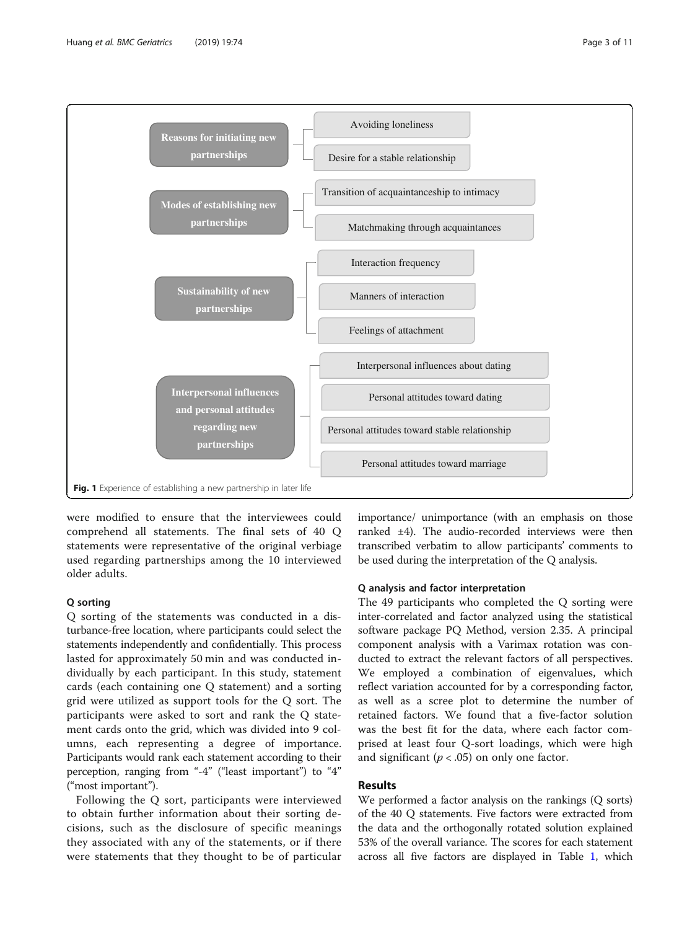

<span id="page-2-0"></span>

were modified to ensure that the interviewees could comprehend all statements. The final sets of 40 Q statements were representative of the original verbiage used regarding partnerships among the 10 interviewed older adults.

# Q sorting

Q sorting of the statements was conducted in a disturbance-free location, where participants could select the statements independently and confidentially. This process lasted for approximately 50 min and was conducted individually by each participant. In this study, statement cards (each containing one Q statement) and a sorting grid were utilized as support tools for the Q sort. The participants were asked to sort and rank the Q statement cards onto the grid, which was divided into 9 columns, each representing a degree of importance. Participants would rank each statement according to their perception, ranging from "-4" ("least important") to "4" ("most important").

Following the Q sort, participants were interviewed to obtain further information about their sorting decisions, such as the disclosure of specific meanings they associated with any of the statements, or if there were statements that they thought to be of particular

importance/ unimportance (with an emphasis on those ranked ±4). The audio-recorded interviews were then transcribed verbatim to allow participants' comments to be used during the interpretation of the Q analysis.

# Q analysis and factor interpretation

The 49 participants who completed the Q sorting were inter-correlated and factor analyzed using the statistical software package PQ Method, version 2.35. A principal component analysis with a Varimax rotation was conducted to extract the relevant factors of all perspectives. We employed a combination of eigenvalues, which reflect variation accounted for by a corresponding factor, as well as a scree plot to determine the number of retained factors. We found that a five-factor solution was the best fit for the data, where each factor comprised at least four Q-sort loadings, which were high and significant ( $p < .05$ ) on only one factor.

# Results

We performed a factor analysis on the rankings (Q sorts) of the 40 Q statements. Five factors were extracted from the data and the orthogonally rotated solution explained 53% of the overall variance. The scores for each statement across all five factors are displayed in Table [1,](#page-3-0) which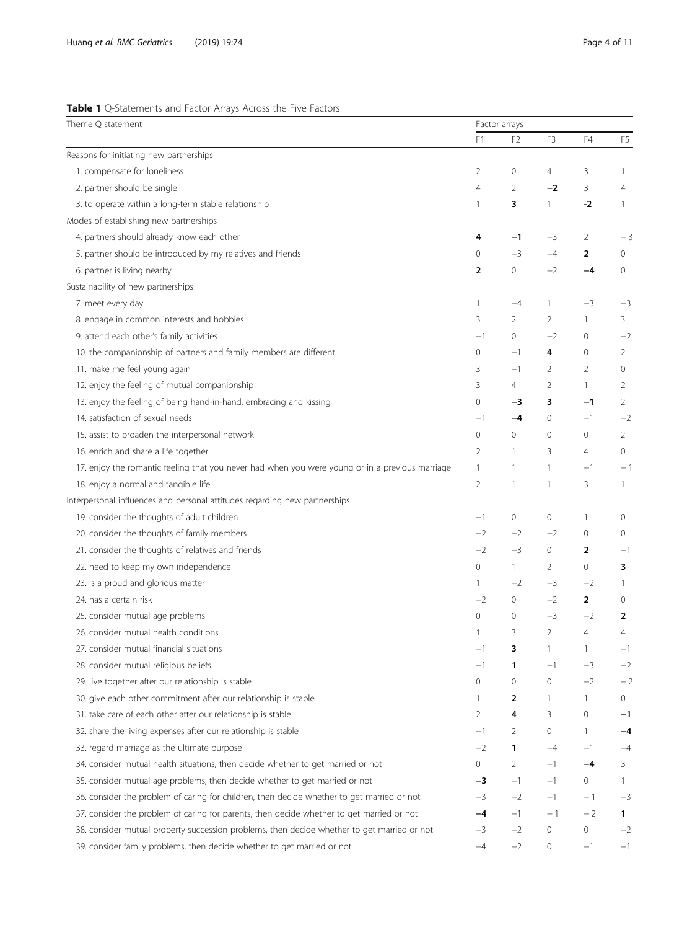# <span id="page-3-0"></span>Table 1 Q-Statements and Factor Arrays Across the Five Factors

| Theme Q statement                                                                               |                | Factor arrays  |                |                |                |  |  |
|-------------------------------------------------------------------------------------------------|----------------|----------------|----------------|----------------|----------------|--|--|
|                                                                                                 | F1             | F <sub>2</sub> | F <sub>3</sub> | F4             | F <sub>5</sub> |  |  |
| Reasons for initiating new partnerships                                                         |                |                |                |                |                |  |  |
| 1. compensate for loneliness                                                                    | $\overline{2}$ | 0              | $\overline{4}$ | 3              | $\mathbf{1}$   |  |  |
| 2. partner should be single                                                                     | $\overline{4}$ | $\overline{2}$ | $-2$           | 3              | $\overline{4}$ |  |  |
| 3. to operate within a long-term stable relationship                                            | $\mathbf{1}$   | 3              | 1              | $-2$           | $\mathbf{1}$   |  |  |
| Modes of establishing new partnerships                                                          |                |                |                |                |                |  |  |
| 4. partners should already know each other                                                      | 4              | $-1$           | $-3$           | 2              | - 3            |  |  |
| 5. partner should be introduced by my relatives and friends                                     | 0              | $-3$           | $-4$           | $\overline{2}$ | 0              |  |  |
| 6. partner is living nearby                                                                     | $\overline{2}$ | 0              | $-2$           | -4             | $\circ$        |  |  |
| Sustainability of new partnerships                                                              |                |                |                |                |                |  |  |
| 7. meet every day                                                                               | $\mathbf{1}$   | $-4$           | 1              | $-3$           | $-3$           |  |  |
| 8. engage in common interests and hobbies                                                       | 3              | $\overline{2}$ | 2              | $\mathbf{1}$   | 3              |  |  |
| 9. attend each other's family activities                                                        | $-1$           | 0              | $-2$           | 0              | $-2$           |  |  |
| 10. the companionship of partners and family members are different                              | 0              | $-1$           | 4              | 0              | $\overline{2}$ |  |  |
| 11. make me feel young again                                                                    | 3              | $-1$           | 2              | 2              | $\circ$        |  |  |
| 12. enjoy the feeling of mutual companionship                                                   | 3              | $\overline{4}$ | 2              | $\mathbf{1}$   | $\overline{2}$ |  |  |
| 13. enjoy the feeling of being hand-in-hand, embracing and kissing                              | $\mathbf 0$    | $-3$           | 3              | $-1$           | 2              |  |  |
| 14. satisfaction of sexual needs                                                                | $-1$           | -4             | 0              | $-1$           | $-2$           |  |  |
| 15. assist to broaden the interpersonal network                                                 | 0              | $\circ$        | 0              | 0              | $\overline{2}$ |  |  |
| 16. enrich and share a life together                                                            | $\overline{2}$ | $\mathbf{1}$   | 3              | 4              | $\circ$        |  |  |
| 17. enjoy the romantic feeling that you never had when you were young or in a previous marriage |                |                | 1              | $-1$           | $-1$           |  |  |
| 18. enjoy a normal and tangible life                                                            | $\overline{2}$ | $\mathbf{1}$   | $\mathbf{1}$   | 3              | $\mathbf{1}$   |  |  |
| Interpersonal influences and personal attitudes regarding new partnerships                      |                |                |                |                |                |  |  |
| 19. consider the thoughts of adult children                                                     | $-1$           | 0              | 0              | 1              | 0              |  |  |
| 20. consider the thoughts of family members                                                     |                |                | $-2$           | 0              | $\circ$        |  |  |
| 21. consider the thoughts of relatives and friends                                              | $-2$           | $-3$           | 0              | $\overline{2}$ | $-1$           |  |  |
| 22. need to keep my own independence                                                            | 0              | $\mathbf{1}$   | 2              | 0              | 3              |  |  |
| 23. is a proud and glorious matter                                                              | $\mathbf{1}$   | $-2$           | $-3$           | $-2$           | $\mathbf{1}$   |  |  |
| 24. has a certain risk                                                                          | $-2$           | 0              | $-2$           | 2              | $\mathbf{0}$   |  |  |
| 25. consider mutual age problems                                                                | 0              | 0              | $-3$           | $-2$           | 2              |  |  |
| 26. consider mutual health conditions                                                           | $\mathbf{1}$   | 3              | 2              | $\overline{4}$ | $\overline{4}$ |  |  |
| 27. consider mutual financial situations                                                        | -1             | 3              |                | 1              | $-1$           |  |  |
| 28. consider mutual religious beliefs                                                           | $-1$           | 1              | $-1$           | $-3$           | $-2$           |  |  |
| 29. live together after our relationship is stable                                              | 0              | $\circ$        | 0              | $-2$           | $-2$           |  |  |
| 30. give each other commitment after our relationship is stable                                 |                | $\overline{2}$ | 1              | $\mathbf{1}$   | $\circ$        |  |  |
| 31. take care of each other after our relationship is stable                                    |                | 4              | 3              | 0              | $-1$           |  |  |
| 32. share the living expenses after our relationship is stable                                  |                | $\overline{2}$ | 0              | $\mathbf{1}$   | -4             |  |  |
| 33. regard marriage as the ultimate purpose                                                     | $-2$           | $\mathbf{1}$   | $-4$           | $-1$           | $-4$           |  |  |
| 34. consider mutual health situations, then decide whether to get married or not                | 0              | $\overline{2}$ | $-1$           | -4             | 3              |  |  |
| 35. consider mutual age problems, then decide whether to get married or not                     | -3             | $-1$           | $-1$           | 0              | $\mathbf{1}$   |  |  |
| 36. consider the problem of caring for children, then decide whether to get married or not      |                | $-2$           | $-1$           | $-1$           | $-3$           |  |  |
| 37. consider the problem of caring for parents, then decide whether to get married or not       |                |                | $-1$           | $-2$           | 1              |  |  |
| 38. consider mutual property succession problems, then decide whether to get married or not     | $-3$           | $-2$           | 0              | 0              | $-2$           |  |  |
| 39. consider family problems, then decide whether to get married or not                         | $-4$           | $-2$           | 0              | $-1$           | $-1$           |  |  |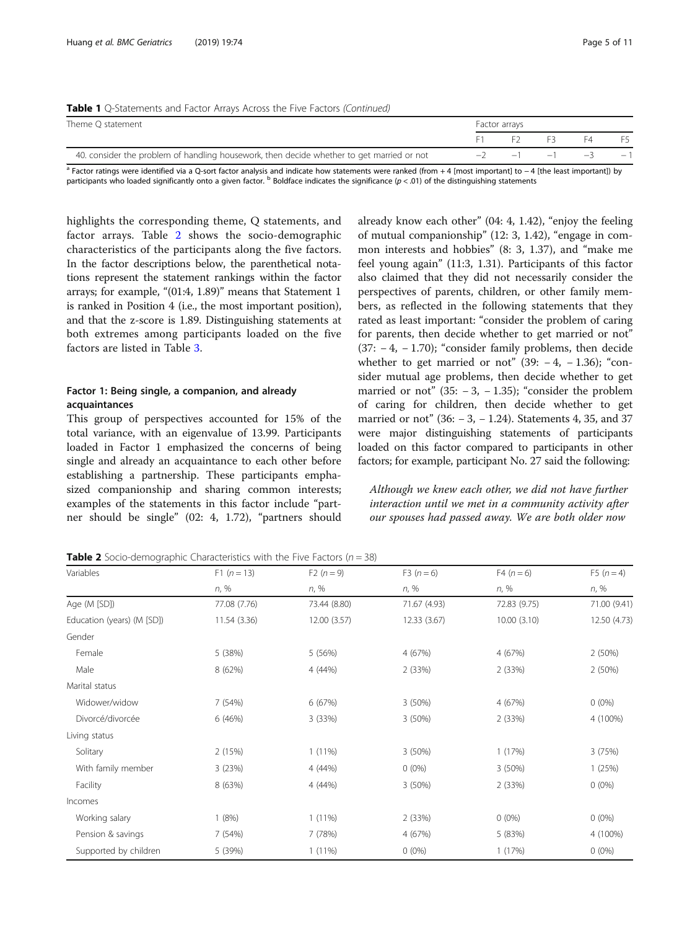| Theme O statement                                                                         |           | Factor arrays |             |    |  |  |  |
|-------------------------------------------------------------------------------------------|-----------|---------------|-------------|----|--|--|--|
|                                                                                           |           | F2 F3         |             | F4 |  |  |  |
| 40. consider the problem of handling housework, then decide whether to get married or not | $-2$ $-1$ |               | $\sim$ $-1$ |    |  |  |  |

<sup>a</sup> Factor ratings were identified via a Q-sort factor analysis and indicate how statements were ranked (from +4 [most important] to −4 [the least important]) by participants who loaded significantly onto a given factor. <sup>b</sup> Boldface indicates the significance ( $p < .01$ ) of the distinguishing statements

highlights the corresponding theme, Q statements, and factor arrays. Table 2 shows the socio-demographic characteristics of the participants along the five factors. In the factor descriptions below, the parenthetical notations represent the statement rankings within the factor arrays; for example, "(01:4, 1.89)" means that Statement 1 is ranked in Position 4 (i.e., the most important position), and that the z-score is 1.89. Distinguishing statements at both extremes among participants loaded on the five factors are listed in Table [3](#page-5-0).

# Factor 1: Being single, a companion, and already acquaintances

This group of perspectives accounted for 15% of the total variance, with an eigenvalue of 13.99. Participants loaded in Factor 1 emphasized the concerns of being single and already an acquaintance to each other before establishing a partnership. These participants emphasized companionship and sharing common interests; examples of the statements in this factor include "partner should be single" (02: 4, 1.72), "partners should already know each other" (04: 4, 1.42), "enjoy the feeling of mutual companionship" (12: 3, 1.42), "engage in common interests and hobbies" (8: 3, 1.37), and "make me feel young again" (11:3, 1.31). Participants of this factor also claimed that they did not necessarily consider the perspectives of parents, children, or other family members, as reflected in the following statements that they rated as least important: "consider the problem of caring for parents, then decide whether to get married or not" (37: − 4, − 1.70); "consider family problems, then decide whether to get married or not" (39: − 4, − 1.36); "consider mutual age problems, then decide whether to get married or not" (35: − 3, − 1.35); "consider the problem of caring for children, then decide whether to get married or not" (36: − 3, − 1.24). Statements 4, 35, and 37 were major distinguishing statements of participants loaded on this factor compared to participants in other factors; for example, participant No. 27 said the following:

Although we knew each other, we did not have further interaction until we met in a community activity after our spouses had passed away. We are both older now

**Table 2** Socio-demographic Characteristics with the Five Factors ( $n = 38$ )

| Variables                  | $F1(n = 13)$ | $F2(n=9)$    | $F3(n=6)$    | $F4(n=6)$    | F5 $(n = 4)$ |
|----------------------------|--------------|--------------|--------------|--------------|--------------|
|                            | n, %         | n, %         | n, %         | n, %         | n, %         |
| Age (M [SD])               | 77.08 (7.76) | 73.44 (8.80) | 71.67 (4.93) | 72.83 (9.75) | 71.00 (9.41) |
| Education (years) (M [SD]) | 11.54 (3.36) | 12.00 (3.57) | 12.33 (3.67) | 10.00(3.10)  | 12.50 (4.73) |
| Gender                     |              |              |              |              |              |
| Female                     | 5 (38%)      | 5 (56%)      | 4 (67%)      | 4 (67%)      | 2(50%)       |
| Male                       | 8 (62%)      | 4 (44%)      | 2(33%)       | 2(33%)       | 2 (50%)      |
| Marital status             |              |              |              |              |              |
| Widower/widow              | 7 (54%)      | 6 (67%)      | 3(50%)       | 4 (67%)      | $0(0\%)$     |
| Divorcé/divorcée           | 6(46%)       | 3 (33%)      | 3 (50%)      | 2(33%)       | 4 (100%)     |
| Living status              |              |              |              |              |              |
| Solitary                   | 2(15%)       | $1(11\%)$    | 3 (50%)      | 1(17%)       | 3(75%)       |
| With family member         | 3(23%)       | 4 (44%)      | $0(0\%)$     | 3(50%)       | 1(25%)       |
| Facility                   | 8 (63%)      | 4 (44%)      | 3 (50%)      | 2(33%)       | $0(0\%)$     |
| Incomes                    |              |              |              |              |              |
| Working salary             | 1(8%)        | $1(11\%)$    | 2 (33%)      | $0(0\%)$     | $0(0\%)$     |
| Pension & savings          | 7 (54%)      | 7 (78%)      | 4 (67%)      | 5 (83%)      | 4 (100%)     |
| Supported by children      | 5 (39%)      | $1(11\%)$    | $0(0\%)$     | 1(17%)       | $0(0\%)$     |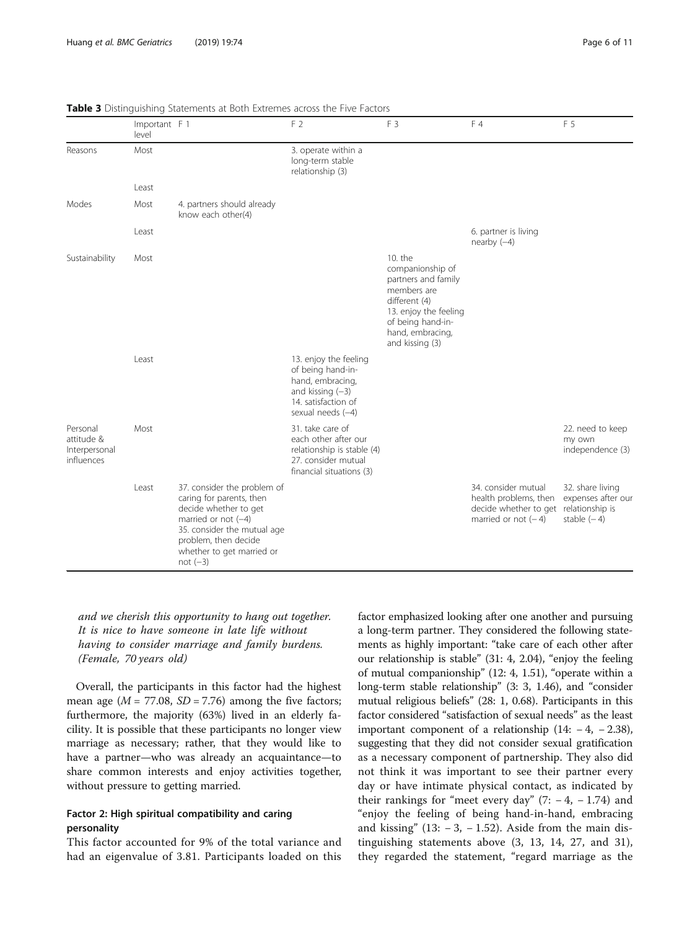|                                                       | Important F 1<br>level |                                                                                                                                                                                                             | F <sub>2</sub>                                                                                                                   | F 3                                                                                                                                                                     | F <sub>4</sub>                                                                                 | F 5                                                                        |
|-------------------------------------------------------|------------------------|-------------------------------------------------------------------------------------------------------------------------------------------------------------------------------------------------------------|----------------------------------------------------------------------------------------------------------------------------------|-------------------------------------------------------------------------------------------------------------------------------------------------------------------------|------------------------------------------------------------------------------------------------|----------------------------------------------------------------------------|
| Reasons                                               | Most                   |                                                                                                                                                                                                             | 3. operate within a<br>long-term stable<br>relationship (3)                                                                      |                                                                                                                                                                         |                                                                                                |                                                                            |
|                                                       | Least                  |                                                                                                                                                                                                             |                                                                                                                                  |                                                                                                                                                                         |                                                                                                |                                                                            |
| Modes                                                 | Most                   | 4. partners should already<br>know each other(4)                                                                                                                                                            |                                                                                                                                  |                                                                                                                                                                         |                                                                                                |                                                                            |
|                                                       | Least                  |                                                                                                                                                                                                             |                                                                                                                                  |                                                                                                                                                                         | 6. partner is living<br>nearby $(-4)$                                                          |                                                                            |
| Sustainability                                        | Most                   |                                                                                                                                                                                                             |                                                                                                                                  | 10. the<br>companionship of<br>partners and family<br>members are<br>different (4)<br>13. enjoy the feeling<br>of being hand-in-<br>hand, embracing,<br>and kissing (3) |                                                                                                |                                                                            |
|                                                       | Least                  |                                                                                                                                                                                                             | 13. enjoy the feeling<br>of being hand-in-<br>hand, embracing,<br>and kissing $(-3)$<br>14. satisfaction of<br>sexual needs (-4) |                                                                                                                                                                         |                                                                                                |                                                                            |
| Personal<br>attitude &<br>Interpersonal<br>influences | Most                   |                                                                                                                                                                                                             | 31. take care of<br>each other after our<br>relationship is stable (4)<br>27. consider mutual<br>financial situations (3)        |                                                                                                                                                                         |                                                                                                | 22. need to keep<br>my own<br>independence (3)                             |
|                                                       | Least                  | 37. consider the problem of<br>caring for parents, then<br>decide whether to get<br>married or not $(-4)$<br>35. consider the mutual age<br>problem, then decide<br>whether to get married or<br>$not (-3)$ |                                                                                                                                  |                                                                                                                                                                         | 34. consider mutual<br>health problems, then<br>decide whether to get<br>married or not $(-4)$ | 32. share living<br>expenses after our<br>relationship is<br>stable $(-4)$ |

<span id="page-5-0"></span>Table 3 Distinguishing Statements at Both Extremes across the Five Factors

and we cherish this opportunity to hang out together. It is nice to have someone in late life without having to consider marriage and family burdens. (Female, 70 years old)

Overall, the participants in this factor had the highest mean age ( $M = 77.08$ ,  $SD = 7.76$ ) among the five factors; furthermore, the majority (63%) lived in an elderly facility. It is possible that these participants no longer view marriage as necessary; rather, that they would like to have a partner—who was already an acquaintance—to share common interests and enjoy activities together, without pressure to getting married.

# Factor 2: High spiritual compatibility and caring personality

This factor accounted for 9% of the total variance and had an eigenvalue of 3.81. Participants loaded on this factor emphasized looking after one another and pursuing a long-term partner. They considered the following statements as highly important: "take care of each other after our relationship is stable" (31: 4, 2.04), "enjoy the feeling of mutual companionship" (12: 4, 1.51), "operate within a long-term stable relationship" (3: 3, 1.46), and "consider mutual religious beliefs" (28: 1, 0.68). Participants in this factor considered "satisfaction of sexual needs" as the least important component of a relationship (14: − 4, − 2.38), suggesting that they did not consider sexual gratification as a necessary component of partnership. They also did not think it was important to see their partner every day or have intimate physical contact, as indicated by their rankings for "meet every day"  $(7: -4, -1.74)$  and "enjoy the feeling of being hand-in-hand, embracing and kissing" (13:  $-3$ ,  $-1.52$ ). Aside from the main distinguishing statements above (3, 13, 14, 27, and 31), they regarded the statement, "regard marriage as the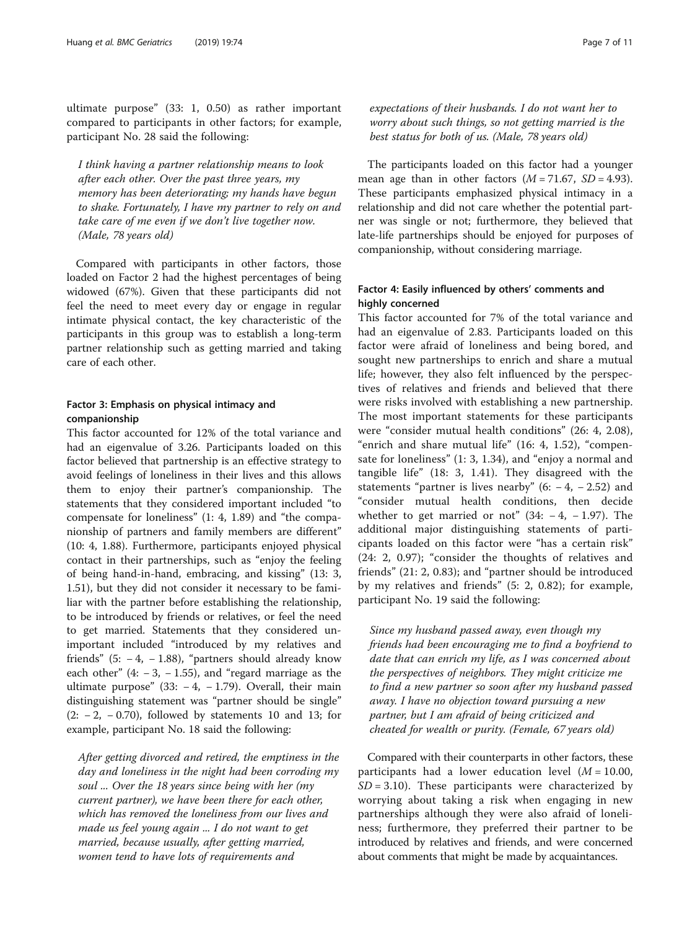ultimate purpose" (33: 1, 0.50) as rather important compared to participants in other factors; for example, participant No. 28 said the following:

I think having a partner relationship means to look after each other. Over the past three years, my memory has been deteriorating; my hands have begun to shake. Fortunately, I have my partner to rely on and take care of me even if we don't live together now. (Male, 78 years old)

Compared with participants in other factors, those loaded on Factor 2 had the highest percentages of being widowed (67%). Given that these participants did not feel the need to meet every day or engage in regular intimate physical contact, the key characteristic of the participants in this group was to establish a long-term partner relationship such as getting married and taking care of each other.

# Factor 3: Emphasis on physical intimacy and companionship

This factor accounted for 12% of the total variance and had an eigenvalue of 3.26. Participants loaded on this factor believed that partnership is an effective strategy to avoid feelings of loneliness in their lives and this allows them to enjoy their partner's companionship. The statements that they considered important included "to compensate for loneliness" (1: 4, 1.89) and "the companionship of partners and family members are different" (10: 4, 1.88). Furthermore, participants enjoyed physical contact in their partnerships, such as "enjoy the feeling of being hand-in-hand, embracing, and kissing" (13: 3, 1.51), but they did not consider it necessary to be familiar with the partner before establishing the relationship, to be introduced by friends or relatives, or feel the need to get married. Statements that they considered unimportant included "introduced by my relatives and friends" (5:  $-4$ ,  $-1.88$ ), "partners should already know each other"  $(4: -3, -1.55)$ , and "regard marriage as the ultimate purpose" (33:  $-4$ ,  $-1.79$ ). Overall, their main distinguishing statement was "partner should be single" (2: − 2, − 0.70), followed by statements 10 and 13; for example, participant No. 18 said the following:

After getting divorced and retired, the emptiness in the day and loneliness in the night had been corroding my soul ... Over the 18 years since being with her (my current partner), we have been there for each other, which has removed the loneliness from our lives and made us feel young again ... I do not want to get married, because usually, after getting married, women tend to have lots of requirements and

expectations of their husbands. I do not want her to worry about such things, so not getting married is the best status for both of us. (Male, 78 years old)

The participants loaded on this factor had a younger mean age than in other factors  $(M = 71.67, SD = 4.93)$ . These participants emphasized physical intimacy in a relationship and did not care whether the potential partner was single or not; furthermore, they believed that late-life partnerships should be enjoyed for purposes of companionship, without considering marriage.

# Factor 4: Easily influenced by others' comments and highly concerned

This factor accounted for 7% of the total variance and had an eigenvalue of 2.83. Participants loaded on this factor were afraid of loneliness and being bored, and sought new partnerships to enrich and share a mutual life; however, they also felt influenced by the perspectives of relatives and friends and believed that there were risks involved with establishing a new partnership. The most important statements for these participants were "consider mutual health conditions" (26: 4, 2.08), "enrich and share mutual life" (16: 4, 1.52), "compensate for loneliness" (1: 3, 1.34), and "enjoy a normal and tangible life" (18: 3, 1.41). They disagreed with the statements "partner is lives nearby" (6: − 4, − 2.52) and "consider mutual health conditions, then decide whether to get married or not"  $(34: -4, -1.97)$ . The additional major distinguishing statements of participants loaded on this factor were "has a certain risk" (24: 2, 0.97); "consider the thoughts of relatives and friends" (21: 2, 0.83); and "partner should be introduced by my relatives and friends" (5: 2, 0.82); for example, participant No. 19 said the following:

Since my husband passed away, even though my friends had been encouraging me to find a boyfriend to date that can enrich my life, as I was concerned about the perspectives of neighbors. They might criticize me to find a new partner so soon after my husband passed away. I have no objection toward pursuing a new partner, but I am afraid of being criticized and cheated for wealth or purity. (Female, 67 years old)

Compared with their counterparts in other factors, these participants had a lower education level  $(M = 10.00,$  $SD = 3.10$ ). These participants were characterized by worrying about taking a risk when engaging in new partnerships although they were also afraid of loneliness; furthermore, they preferred their partner to be introduced by relatives and friends, and were concerned about comments that might be made by acquaintances.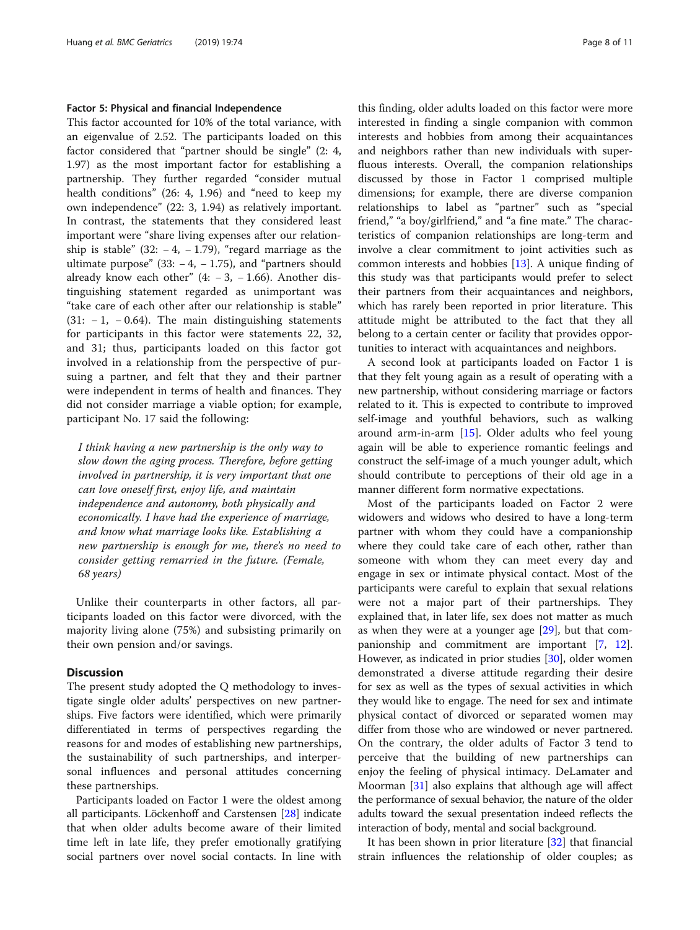# Factor 5: Physical and financial Independence

This factor accounted for 10% of the total variance, with an eigenvalue of 2.52. The participants loaded on this factor considered that "partner should be single" (2: 4, 1.97) as the most important factor for establishing a partnership. They further regarded "consider mutual health conditions" (26: 4, 1.96) and "need to keep my own independence" (22: 3, 1.94) as relatively important. In contrast, the statements that they considered least important were "share living expenses after our relationship is stable" (32:  $-4$ ,  $-1.79$ ), "regard marriage as the ultimate purpose" (33:  $-4$ ,  $-1.75$ ), and "partners should already know each other"  $(4: -3, -1.66)$ . Another distinguishing statement regarded as unimportant was "take care of each other after our relationship is stable" (31: − 1, − 0.64). The main distinguishing statements for participants in this factor were statements 22, 32, and 31; thus, participants loaded on this factor got involved in a relationship from the perspective of pursuing a partner, and felt that they and their partner were independent in terms of health and finances. They did not consider marriage a viable option; for example, participant No. 17 said the following:

I think having a new partnership is the only way to slow down the aging process. Therefore, before getting involved in partnership, it is very important that one can love oneself first, enjoy life, and maintain independence and autonomy, both physically and economically. I have had the experience of marriage, and know what marriage looks like. Establishing a new partnership is enough for me, there's no need to consider getting remarried in the future. (Female, 68 years)

Unlike their counterparts in other factors, all participants loaded on this factor were divorced, with the majority living alone (75%) and subsisting primarily on their own pension and/or savings.

# **Discussion**

The present study adopted the Q methodology to investigate single older adults' perspectives on new partnerships. Five factors were identified, which were primarily differentiated in terms of perspectives regarding the reasons for and modes of establishing new partnerships, the sustainability of such partnerships, and interpersonal influences and personal attitudes concerning these partnerships.

Participants loaded on Factor 1 were the oldest among all participants. Löckenhoff and Carstensen [\[28\]](#page-10-0) indicate that when older adults become aware of their limited time left in late life, they prefer emotionally gratifying social partners over novel social contacts. In line with

this finding, older adults loaded on this factor were more interested in finding a single companion with common interests and hobbies from among their acquaintances and neighbors rather than new individuals with superfluous interests. Overall, the companion relationships discussed by those in Factor 1 comprised multiple dimensions; for example, there are diverse companion relationships to label as "partner" such as "special friend," "a boy/girlfriend," and "a fine mate." The characteristics of companion relationships are long-term and involve a clear commitment to joint activities such as common interests and hobbies [\[13](#page-10-0)]. A unique finding of this study was that participants would prefer to select their partners from their acquaintances and neighbors, which has rarely been reported in prior literature. This attitude might be attributed to the fact that they all belong to a certain center or facility that provides opportunities to interact with acquaintances and neighbors.

A second look at participants loaded on Factor 1 is that they felt young again as a result of operating with a new partnership, without considering marriage or factors related to it. This is expected to contribute to improved self-image and youthful behaviors, such as walking around arm-in-arm [\[15](#page-10-0)]. Older adults who feel young again will be able to experience romantic feelings and construct the self-image of a much younger adult, which should contribute to perceptions of their old age in a manner different form normative expectations.

Most of the participants loaded on Factor 2 were widowers and widows who desired to have a long-term partner with whom they could have a companionship where they could take care of each other, rather than someone with whom they can meet every day and engage in sex or intimate physical contact. Most of the participants were careful to explain that sexual relations were not a major part of their partnerships. They explained that, in later life, sex does not matter as much as when they were at a younger age [[29\]](#page-10-0), but that companionship and commitment are important [\[7](#page-10-0), [12](#page-10-0)]. However, as indicated in prior studies [\[30](#page-10-0)], older women demonstrated a diverse attitude regarding their desire for sex as well as the types of sexual activities in which they would like to engage. The need for sex and intimate physical contact of divorced or separated women may differ from those who are windowed or never partnered. On the contrary, the older adults of Factor 3 tend to perceive that the building of new partnerships can enjoy the feeling of physical intimacy. DeLamater and Moorman [[31\]](#page-10-0) also explains that although age will affect the performance of sexual behavior, the nature of the older adults toward the sexual presentation indeed reflects the interaction of body, mental and social background.

It has been shown in prior literature [[32\]](#page-10-0) that financial strain influences the relationship of older couples; as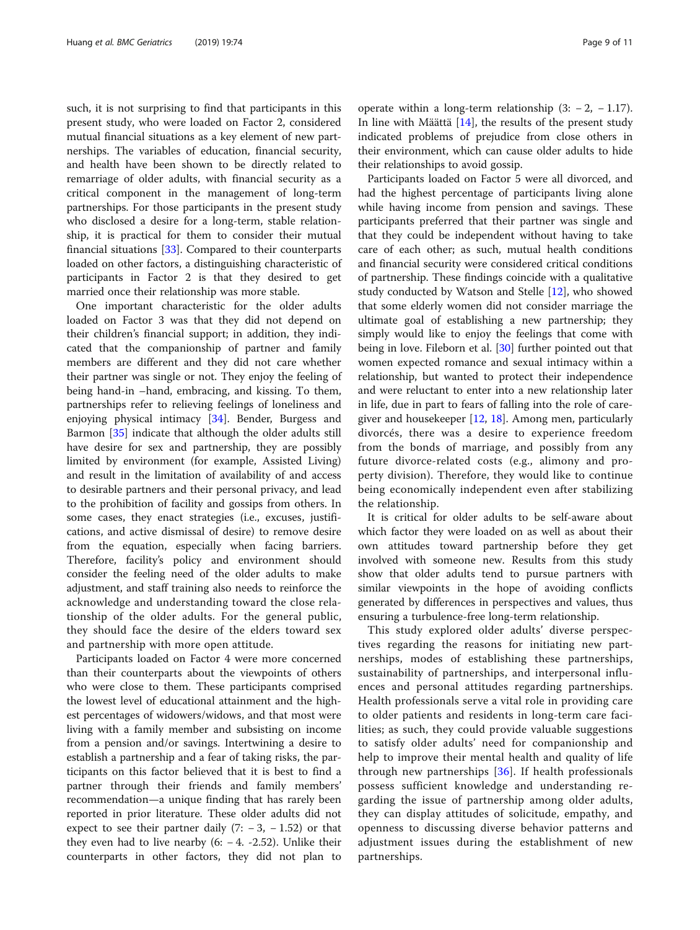such, it is not surprising to find that participants in this present study, who were loaded on Factor 2, considered mutual financial situations as a key element of new partnerships. The variables of education, financial security, and health have been shown to be directly related to remarriage of older adults, with financial security as a critical component in the management of long-term partnerships. For those participants in the present study who disclosed a desire for a long-term, stable relationship, it is practical for them to consider their mutual financial situations [\[33](#page-10-0)]. Compared to their counterparts loaded on other factors, a distinguishing characteristic of participants in Factor 2 is that they desired to get married once their relationship was more stable.

One important characteristic for the older adults loaded on Factor 3 was that they did not depend on their children's financial support; in addition, they indicated that the companionship of partner and family members are different and they did not care whether their partner was single or not. They enjoy the feeling of being hand-in –hand, embracing, and kissing. To them, partnerships refer to relieving feelings of loneliness and enjoying physical intimacy [\[34](#page-10-0)]. Bender, Burgess and Barmon [\[35\]](#page-10-0) indicate that although the older adults still have desire for sex and partnership, they are possibly limited by environment (for example, Assisted Living) and result in the limitation of availability of and access to desirable partners and their personal privacy, and lead to the prohibition of facility and gossips from others. In some cases, they enact strategies (i.e., excuses, justifications, and active dismissal of desire) to remove desire from the equation, especially when facing barriers. Therefore, facility's policy and environment should consider the feeling need of the older adults to make adjustment, and staff training also needs to reinforce the acknowledge and understanding toward the close relationship of the older adults. For the general public, they should face the desire of the elders toward sex and partnership with more open attitude.

Participants loaded on Factor 4 were more concerned than their counterparts about the viewpoints of others who were close to them. These participants comprised the lowest level of educational attainment and the highest percentages of widowers/widows, and that most were living with a family member and subsisting on income from a pension and/or savings. Intertwining a desire to establish a partnership and a fear of taking risks, the participants on this factor believed that it is best to find a partner through their friends and family members' recommendation—a unique finding that has rarely been reported in prior literature. These older adults did not expect to see their partner daily  $(7: -3, -1.52)$  or that they even had to live nearby  $(6: -4. -2.52)$ . Unlike their counterparts in other factors, they did not plan to

operate within a long-term relationship (3: − 2, − 1.17). In line with Määttä [\[14\]](#page-10-0), the results of the present study indicated problems of prejudice from close others in their environment, which can cause older adults to hide their relationships to avoid gossip.

Participants loaded on Factor 5 were all divorced, and had the highest percentage of participants living alone while having income from pension and savings. These participants preferred that their partner was single and that they could be independent without having to take care of each other; as such, mutual health conditions and financial security were considered critical conditions of partnership. These findings coincide with a qualitative study conducted by Watson and Stelle [\[12](#page-10-0)], who showed that some elderly women did not consider marriage the ultimate goal of establishing a new partnership; they simply would like to enjoy the feelings that come with being in love. Fileborn et al. [[30\]](#page-10-0) further pointed out that women expected romance and sexual intimacy within a relationship, but wanted to protect their independence and were reluctant to enter into a new relationship later in life, due in part to fears of falling into the role of caregiver and housekeeper [[12](#page-10-0), [18](#page-10-0)]. Among men, particularly divorcés, there was a desire to experience freedom from the bonds of marriage, and possibly from any future divorce-related costs (e.g., alimony and property division). Therefore, they would like to continue being economically independent even after stabilizing the relationship.

It is critical for older adults to be self-aware about which factor they were loaded on as well as about their own attitudes toward partnership before they get involved with someone new. Results from this study show that older adults tend to pursue partners with similar viewpoints in the hope of avoiding conflicts generated by differences in perspectives and values, thus ensuring a turbulence-free long-term relationship.

This study explored older adults' diverse perspectives regarding the reasons for initiating new partnerships, modes of establishing these partnerships, sustainability of partnerships, and interpersonal influences and personal attitudes regarding partnerships. Health professionals serve a vital role in providing care to older patients and residents in long-term care facilities; as such, they could provide valuable suggestions to satisfy older adults' need for companionship and help to improve their mental health and quality of life through new partnerships [\[36\]](#page-10-0). If health professionals possess sufficient knowledge and understanding regarding the issue of partnership among older adults, they can display attitudes of solicitude, empathy, and openness to discussing diverse behavior patterns and adjustment issues during the establishment of new partnerships.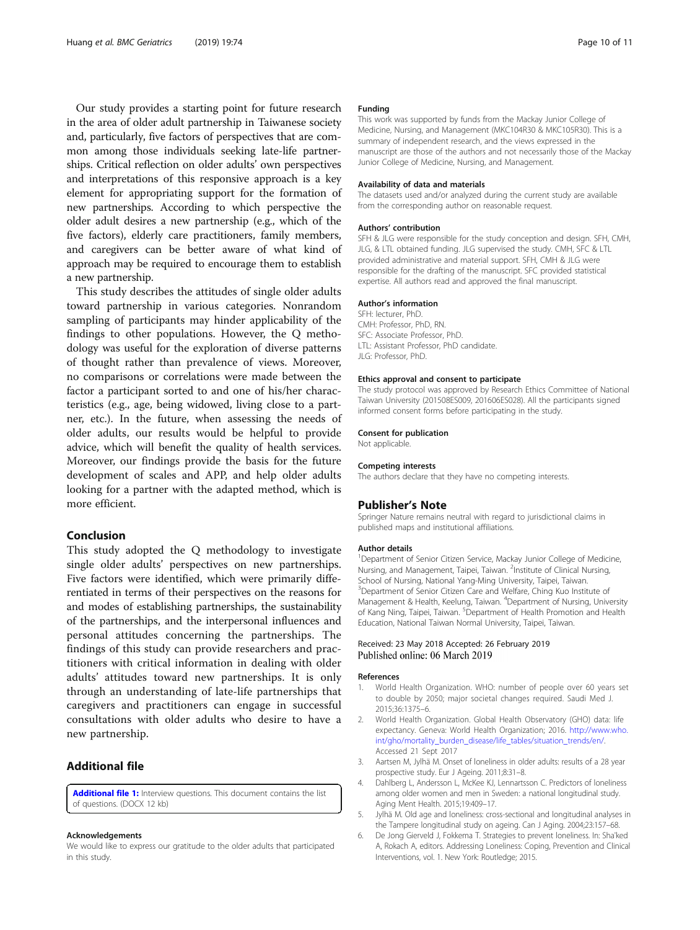<span id="page-9-0"></span>Our study provides a starting point for future research in the area of older adult partnership in Taiwanese society and, particularly, five factors of perspectives that are common among those individuals seeking late-life partnerships. Critical reflection on older adults' own perspectives and interpretations of this responsive approach is a key element for appropriating support for the formation of new partnerships. According to which perspective the older adult desires a new partnership (e.g., which of the five factors), elderly care practitioners, family members, and caregivers can be better aware of what kind of approach may be required to encourage them to establish a new partnership.

This study describes the attitudes of single older adults toward partnership in various categories. Nonrandom sampling of participants may hinder applicability of the findings to other populations. However, the Q methodology was useful for the exploration of diverse patterns of thought rather than prevalence of views. Moreover, no comparisons or correlations were made between the factor a participant sorted to and one of his/her characteristics (e.g., age, being widowed, living close to a partner, etc.). In the future, when assessing the needs of older adults, our results would be helpful to provide advice, which will benefit the quality of health services. Moreover, our findings provide the basis for the future development of scales and APP, and help older adults looking for a partner with the adapted method, which is more efficient.

# Conclusion

This study adopted the Q methodology to investigate single older adults' perspectives on new partnerships. Five factors were identified, which were primarily differentiated in terms of their perspectives on the reasons for and modes of establishing partnerships, the sustainability of the partnerships, and the interpersonal influences and personal attitudes concerning the partnerships. The findings of this study can provide researchers and practitioners with critical information in dealing with older adults' attitudes toward new partnerships. It is only through an understanding of late-life partnerships that caregivers and practitioners can engage in successful consultations with older adults who desire to have a new partnership.

# Additional file

[Additional file 1:](https://doi.org/10.1186/s12877-019-1091-5) Interview questions. This document contains the list of questions. (DOCX 12 kb)

#### Acknowledgements

We would like to express our gratitude to the older adults that participated in this study.

#### Funding

This work was supported by funds from the Mackay Junior College of Medicine, Nursing, and Management (MKC104R30 & MKC105R30). This is a summary of independent research, and the views expressed in the manuscript are those of the authors and not necessarily those of the Mackay Junior College of Medicine, Nursing, and Management.

#### Availability of data and materials

The datasets used and/or analyzed during the current study are available from the corresponding author on reasonable request.

#### Authors' contribution

SFH & JLG were responsible for the study conception and design. SFH, CMH, JLG, & LTL obtained funding. JLG supervised the study. CMH, SFC & LTL provided administrative and material support. SFH, CMH & JLG were responsible for the drafting of the manuscript. SFC provided statistical expertise. All authors read and approved the final manuscript.

#### Author's information

SFH: lecturer, PhD. CMH: Professor, PhD, RN. SFC: Associate Professor, PhD. LTL: Assistant Professor, PhD candidate. JLG: Professor, PhD.

# Ethics approval and consent to participate

The study protocol was approved by Research Ethics Committee of National Taiwan University (201508ES009, 201606ES028). All the participants signed informed consent forms before participating in the study.

#### Consent for publication

Not applicable.

#### Competing interests

The authors declare that they have no competing interests.

# Publisher's Note

Springer Nature remains neutral with regard to jurisdictional claims in published maps and institutional affiliations.

#### Author details

<sup>1</sup>Department of Senior Citizen Service, Mackay Junior College of Medicine Nursing, and Management, Taipei, Taiwan. <sup>2</sup>Institute of Clinical Nursing, School of Nursing, National Yang-Ming University, Taipei, Taiwan. <sup>3</sup>Department of Senior Citizen Care and Welfare, Ching Kuo Institute of Management & Health, Keelung, Taiwan. <sup>4</sup> Department of Nursing, University of Kang Ning, Taipei, Taiwan. <sup>5</sup> Department of Health Promotion and Health Education, National Taiwan Normal University, Taipei, Taiwan.

#### Received: 23 May 2018 Accepted: 26 February 2019 Published online: 06 March 2019

#### References

- 1. World Health Organization. WHO: number of people over 60 years set to double by 2050; major societal changes required. Saudi Med J. 2015;36:1375–6.
- 2. World Health Organization. Global Health Observatory (GHO) data: life expectancy. Geneva: World Health Organization; 2016. [http://www.who.](http://www.who.int/gho/mortality_burden_disease/life_tables/situation_trends/en/) [int/gho/mortality\\_burden\\_disease/life\\_tables/situation\\_trends/en/](http://www.who.int/gho/mortality_burden_disease/life_tables/situation_trends/en/). Accessed 21 Sept 2017
- Aartsen M, Jylhä M. Onset of loneliness in older adults: results of a 28 year prospective study. Eur J Ageing. 2011;8:31–8.
- 4. Dahlberg L, Andersson L, McKee KJ, Lennartsson C. Predictors of loneliness among older women and men in Sweden: a national longitudinal study. Aging Ment Health. 2015;19:409–17.
- 5. Jylhä M. Old age and loneliness: cross-sectional and longitudinal analyses in the Tampere longitudinal study on ageing. Can J Aging. 2004;23:157–68.
- 6. De Jong Gierveld J, Fokkema T. Strategies to prevent loneliness. In: Sha'ked A, Rokach A, editors. Addressing Loneliness: Coping, Prevention and Clinical Interventions, vol. 1. New York: Routledge; 2015.